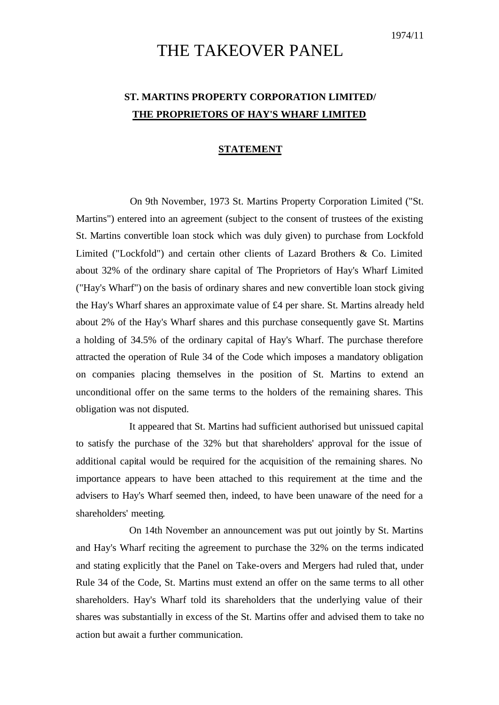## THE TAKEOVER PANEL

## **ST. MARTINS PROPERTY CORPORATION LIMITED/ THE PROPRIETORS OF HAY'S WHARF LIMITED**

## **STATEMENT**

On 9th November, 1973 St. Martins Property Corporation Limited ("St. Martins") entered into an agreement (subject to the consent of trustees of the existing St. Martins convertible loan stock which was duly given) to purchase from Lockfold Limited ("Lockfold") and certain other clients of Lazard Brothers & Co. Limited about 32% of the ordinary share capital of The Proprietors of Hay's Wharf Limited ("Hay's Wharf") on the basis of ordinary shares and new convertible loan stock giving the Hay's Wharf shares an approximate value of £4 per share. St. Martins already held about 2% of the Hay's Wharf shares and this purchase consequently gave St. Martins a holding of 34.5% of the ordinary capital of Hay's Wharf. The purchase therefore attracted the operation of Rule 34 of the Code which imposes a mandatory obligation on companies placing themselves in the position of St. Martins to extend an unconditional offer on the same terms to the holders of the remaining shares. This obligation was not disputed.

It appeared that St. Martins had sufficient authorised but unissued capital to satisfy the purchase of the 32% but that shareholders' approval for the issue of additional capital would be required for the acquisition of the remaining shares. No importance appears to have been attached to this requirement at the time and the advisers to Hay's Wharf seemed then, indeed, to have been unaware of the need for a shareholders' meeting.

On 14th November an announcement was put out jointly by St. Martins and Hay's Wharf reciting the agreement to purchase the 32% on the terms indicated and stating explicitly that the Panel on Take-overs and Mergers had ruled that, under Rule 34 of the Code, St. Martins must extend an offer on the same terms to all other shareholders. Hay's Wharf told its shareholders that the underlying value of their shares was substantially in excess of the St. Martins offer and advised them to take no action but await a further communication.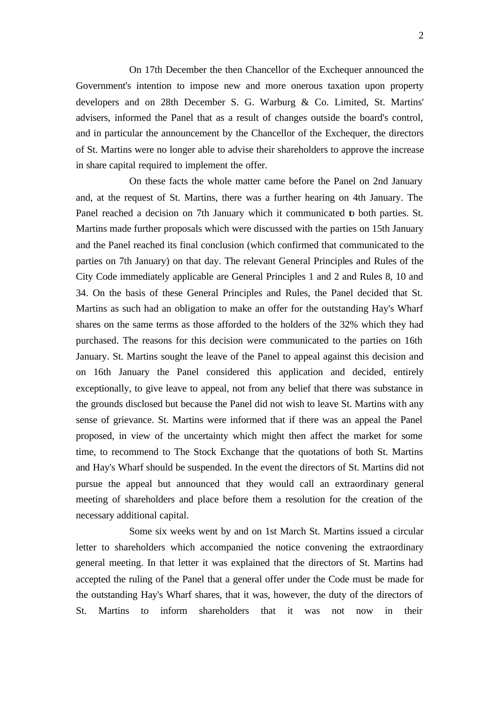On 17th December the then Chancellor of the Exchequer announced the Government's intention to impose new and more onerous taxation upon property developers and on 28th December S. G. Warburg & Co. Limited, St. Martins' advisers, informed the Panel that as a result of changes outside the board's control, and in particular the announcement by the Chancellor of the Exchequer, the directors of St. Martins were no longer able to advise their shareholders to approve the increase in share capital required to implement the offer.

On these facts the whole matter came before the Panel on 2nd January and, at the request of St. Martins, there was a further hearing on 4th January. The Panel reached a decision on 7th January which it communicated to both parties. St. Martins made further proposals which were discussed with the parties on 15th January and the Panel reached its final conclusion (which confirmed that communicated to the parties on 7th January) on that day. The relevant General Principles and Rules of the City Code immediately applicable are General Principles 1 and 2 and Rules 8, 10 and 34. On the basis of these General Principles and Rules, the Panel decided that St. Martins as such had an obligation to make an offer for the outstanding Hay's Wharf shares on the same terms as those afforded to the holders of the 32% which they had purchased. The reasons for this decision were communicated to the parties on 16th January. St. Martins sought the leave of the Panel to appeal against this decision and on 16th January the Panel considered this application and decided, entirely exceptionally, to give leave to appeal, not from any belief that there was substance in the grounds disclosed but because the Panel did not wish to leave St. Martins with any sense of grievance. St. Martins were informed that if there was an appeal the Panel proposed, in view of the uncertainty which might then affect the market for some time, to recommend to The Stock Exchange that the quotations of both St. Martins and Hay's Wharf should be suspended. In the event the directors of St. Martins did not pursue the appeal but announced that they would call an extraordinary general meeting of shareholders and place before them a resolution for the creation of the necessary additional capital.

Some six weeks went by and on 1st March St. Martins issued a circular letter to shareholders which accompanied the notice convening the extraordinary general meeting. In that letter it was explained that the directors of St. Martins had accepted the ruling of the Panel that a general offer under the Code must be made for the outstanding Hay's Wharf shares, that it was, however, the duty of the directors of St. Martins to inform shareholders that it was not now in their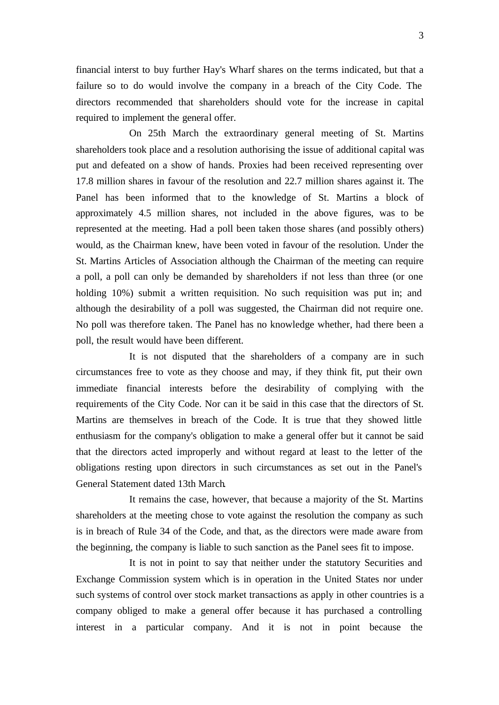financial interst to buy further Hay's Wharf shares on the terms indicated, but that a failure so to do would involve the company in a breach of the City Code. The directors recommended that shareholders should vote for the increase in capital required to implement the general offer.

On 25th March the extraordinary general meeting of St. Martins shareholders took place and a resolution authorising the issue of additional capital was put and defeated on a show of hands. Proxies had been received representing over 17.8 million shares in favour of the resolution and 22.7 million shares against it. The Panel has been informed that to the knowledge of St. Martins a block of approximately 4.5 million shares, not included in the above figures, was to be represented at the meeting. Had a poll been taken those shares (and possibly others) would, as the Chairman knew, have been voted in favour of the resolution. Under the St. Martins Articles of Association although the Chairman of the meeting can require a poll, a poll can only be demanded by shareholders if not less than three (or one holding 10%) submit a written requisition. No such requisition was put in; and although the desirability of a poll was suggested, the Chairman did not require one. No poll was therefore taken. The Panel has no knowledge whether, had there been a poll, the result would have been different.

It is not disputed that the shareholders of a company are in such circumstances free to vote as they choose and may, if they think fit, put their own immediate financial interests before the desirability of complying with the requirements of the City Code. Nor can it be said in this case that the directors of St. Martins are themselves in breach of the Code. It is true that they showed little enthusiasm for the company's obligation to make a general offer but it cannot be said that the directors acted improperly and without regard at least to the letter of the obligations resting upon directors in such circumstances as set out in the Panel's General Statement dated 13th March.

It remains the case, however, that because a majority of the St. Martins shareholders at the meeting chose to vote against the resolution the company as such is in breach of Rule 34 of the Code, and that, as the directors were made aware from the beginning, the company is liable to such sanction as the Panel sees fit to impose.

It is not in point to say that neither under the statutory Securities and Exchange Commission system which is in operation in the United States nor under such systems of control over stock market transactions as apply in other countries is a company obliged to make a general offer because it has purchased a controlling interest in a particular company. And it is not in point because the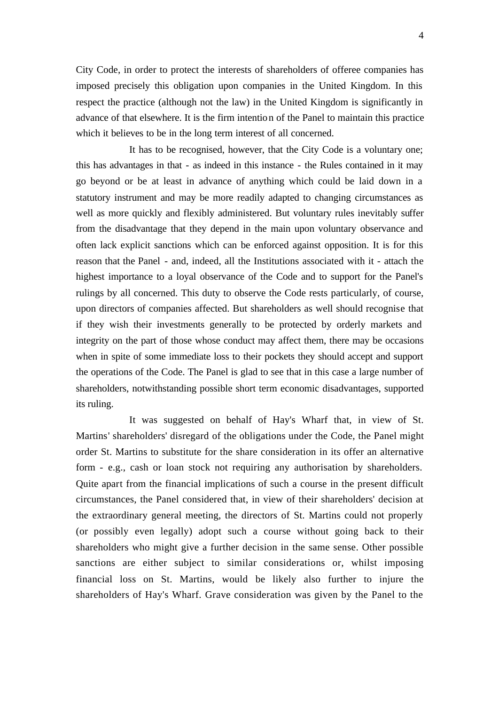City Code, in order to protect the interests of shareholders of offeree companies has imposed precisely this obligation upon companies in the United Kingdom. In this respect the practice (although not the law) in the United Kingdom is significantly in advance of that elsewhere. It is the firm intention of the Panel to maintain this practice which it believes to be in the long term interest of all concerned.

It has to be recognised, however, that the City Code is a voluntary one; this has advantages in that - as indeed in this instance - the Rules contained in it may go beyond or be at least in advance of anything which could be laid down in a statutory instrument and may be more readily adapted to changing circumstances as well as more quickly and flexibly administered. But voluntary rules inevitably suffer from the disadvantage that they depend in the main upon voluntary observance and often lack explicit sanctions which can be enforced against opposition. It is for this reason that the Panel - and, indeed, all the Institutions associated with it - attach the highest importance to a loyal observance of the Code and to support for the Panel's rulings by all concerned. This duty to observe the Code rests particularly, of course, upon directors of companies affected. But shareholders as well should recognise that if they wish their investments generally to be protected by orderly markets and integrity on the part of those whose conduct may affect them, there may be occasions when in spite of some immediate loss to their pockets they should accept and support the operations of the Code. The Panel is glad to see that in this case a large number of shareholders, notwithstanding possible short term economic disadvantages, supported its ruling.

It was suggested on behalf of Hay's Wharf that, in view of St. Martins' shareholders' disregard of the obligations under the Code, the Panel might order St. Martins to substitute for the share consideration in its offer an alternative form - e.g., cash or loan stock not requiring any authorisation by shareholders. Quite apart from the financial implications of such a course in the present difficult circumstances, the Panel considered that, in view of their shareholders' decision at the extraordinary general meeting, the directors of St. Martins could not properly (or possibly even legally) adopt such a course without going back to their shareholders who might give a further decision in the same sense. Other possible sanctions are either subject to similar considerations or, whilst imposing financial loss on St. Martins, would be likely also further to injure the shareholders of Hay's Wharf. Grave consideration was given by the Panel to the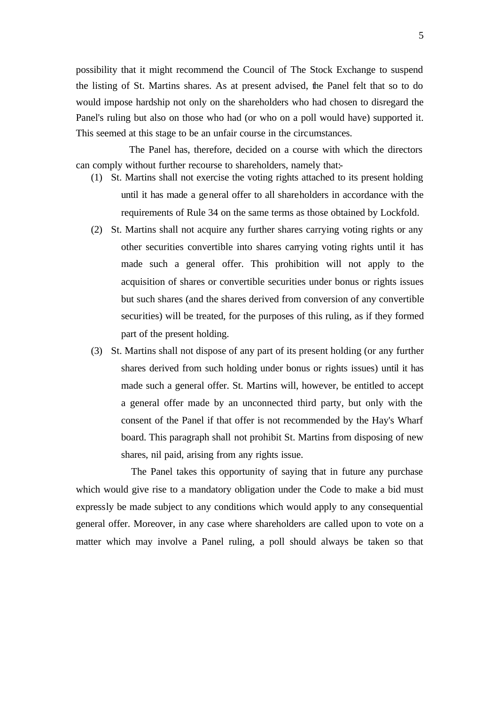possibility that it might recommend the Council of The Stock Exchange to suspend the listing of St. Martins shares. As at present advised, the Panel felt that so to do would impose hardship not only on the shareholders who had chosen to disregard the Panel's ruling but also on those who had (or who on a poll would have) supported it. This seemed at this stage to be an unfair course in the circumstances.

The Panel has, therefore, decided on a course with which the directors can comply without further recourse to shareholders, namely that:-

- (1) St. Martins shall not exercise the voting rights attached to its present holding until it has made a general offer to all shareholders in accordance with the requirements of Rule 34 on the same terms as those obtained by Lockfold.
- (2) St. Martins shall not acquire any further shares carrying voting rights or any other securities convertible into shares carrying voting rights until it has made such a general offer. This prohibition will not apply to the acquisition of shares or convertible securities under bonus or rights issues but such shares (and the shares derived from conversion of any convertible securities) will be treated, for the purposes of this ruling, as if they formed part of the present holding.
- (3) St. Martins shall not dispose of any part of its present holding (or any further shares derived from such holding under bonus or rights issues) until it has made such a general offer. St. Martins will, however, be entitled to accept a general offer made by an unconnected third party, but only with the consent of the Panel if that offer is not recommended by the Hay's Wharf board. This paragraph shall not prohibit St. Martins from disposing of new shares, nil paid, arising from any rights issue.

The Panel takes this opportunity of saying that in future any purchase which would give rise to a mandatory obligation under the Code to make a bid must expressly be made subject to any conditions which would apply to any consequential general offer. Moreover, in any case where shareholders are called upon to vote on a matter which may involve a Panel ruling, a poll should always be taken so that